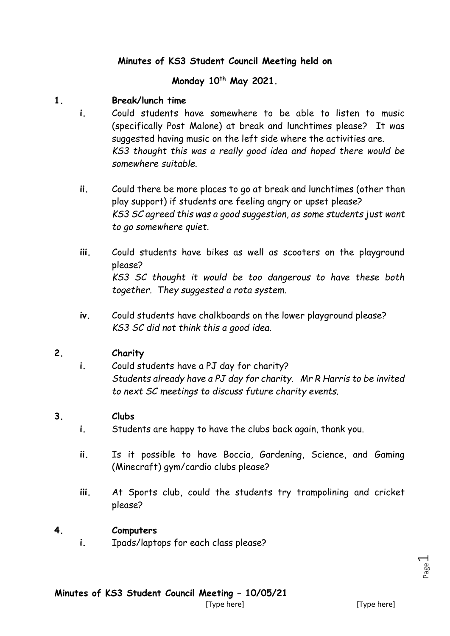## **Minutes of KS3 Student Council Meeting held on**

### **Monday 10th May 2021.**

#### **1. Break/lunch time**

- **i.** Could students have somewhere to be able to listen to music (specifically Post Malone) at break and lunchtimes please? It was suggested having music on the left side where the activities are. *KS3 thought this was a really good idea and hoped there would be somewhere suitable.*
	- **ii.** Could there be more places to go at break and lunchtimes (other than play support) if students are feeling angry or upset please? *KS3 SC agreed this was a good suggestion, as some students just want to go somewhere quiet.*
	- **iii.** Could students have bikes as well as scooters on the playground please? *KS3 SC thought it would be too dangerous to have these both together. They suggested a rota system.*
	- **iv.** Could students have chalkboards on the lower playground please? *KS3 SC did not think this a good idea.*

#### **2. Charity**

**i.** Could students have a PJ day for charity? *Students already have a PJ day for charity. Mr R Harris to be invited to next SC meetings to discuss future charity events.* 

#### **3. Clubs**

- **i.** Students are happy to have the clubs back again, thank you.
- **ii.** Is it possible to have Boccia, Gardening, Science, and Gaming (Minecraft) gym/cardio clubs please?
- **iii.** At Sports club, could the students try trampolining and cricket please?

#### **4. Computers**

**i.** Ipads/laptops for each class please?

Page  $\overline{\phantom{0}}$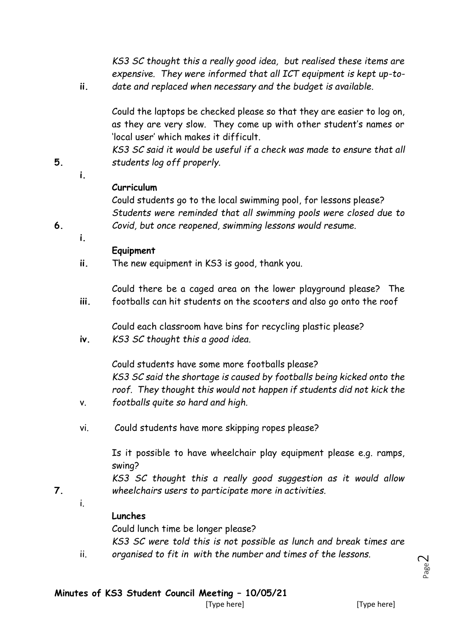*KS3 SC thought this a really good idea, but realised these items are expensive. They were informed that all ICT equipment is kept up-todate and replaced when necessary and the budget is available.*

Could the laptops be checked please so that they are easier to log on, as they are very slow. They come up with other student's names or 'local user' which makes it difficult.

*KS3 SC said it would be useful if a check was made to ensure that all students log off properly.*

**i.**

**i.**

**ii.**

### **Curriculum**

Could students go to the local swimming pool, for lessons please? *Students were reminded that all swimming pools were closed due to Covid, but once reopened, swimming lessons would resume.*

**6.**

**5.**

### **Equipment**

**ii.** The new equipment in KS3 is good, thank you.

**iii.** Could there be a caged area on the lower playground please? The footballs can hit students on the scooters and also go onto the roof

Could each classroom have bins for recycling plastic please?

**iv.** *KS3 SC thought this a good idea.* 

> Could students have some more footballs please? *KS3 SC said the shortage is caused by footballs being kicked onto the roof. They thought this would not happen if students did not kick the footballs quite so hard and high.*

vi. Could students have more skipping ropes please?

> Is it possible to have wheelchair play equipment please e.g. ramps, swing?

> *KS3 SC thought this a really good suggestion as it would allow wheelchairs users to participate more in activities.*

i.

ii.

v.

**7.**

### **Lunches**

Could lunch time be longer please?

*KS3 SC were told this is not possible as lunch and break times are organised to fit in with the number and times of the lessons.*

Page  $\curvearrowright$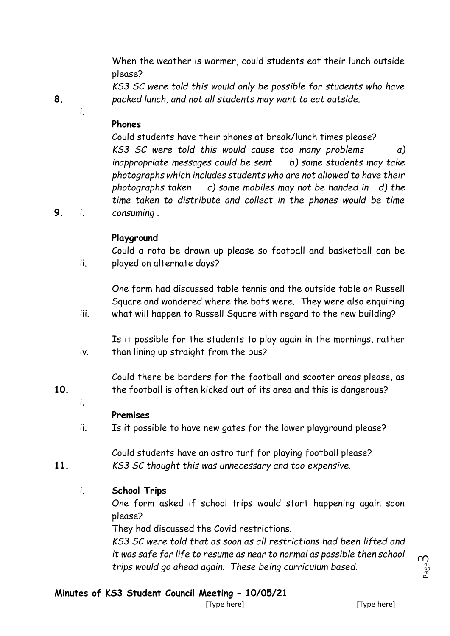When the weather is warmer, could students eat their lunch outside please?

*KS3 SC were told this would only be possible for students who have packed lunch, and not all students may want to eat outside.*

**8.**

i.

## **Phones**

Could students have their phones at break/lunch times please? *KS3 SC were told this would cause too many problems a) inappropriate messages could be sent b) some students may take photographs which includes students who are not allowed to have their photographs taken c) some mobiles may not be handed in d) the time taken to distribute and collect in the phones would be time* 

**9.** i. *consuming .*

ii.

## **Playground**

Could a rota be drawn up please so football and basketball can be played on alternate days?

One form had discussed table tennis and the outside table on Russell Square and wondered where the bats were. They were also enquiring

iii. what will happen to Russell Square with regard to the new building?

iv. Is it possible for the students to play again in the mornings, rather than lining up straight from the bus?

Could there be borders for the football and scooter areas please, as the football is often kicked out of its area and this is dangerous?

**10.**

i.

**11.**

# **Premises**

ii. Is it possible to have new gates for the lower playground please?

Could students have an astro turf for playing football please? *KS3 SC thought this was unnecessary and too expensive.*

i. **School Trips**

> One form asked if school trips would start happening again soon please?

They had discussed the Covid restrictions.

*KS3 SC were told that as soon as all restrictions had been lifted and it was safe for life to resume as near to normal as possible then school trips would go ahead again. These being curriculum based.*

# **Minutes of KS3 Student Council Meeting – 10/05/21**

[Type here] [Type here]

Page ന